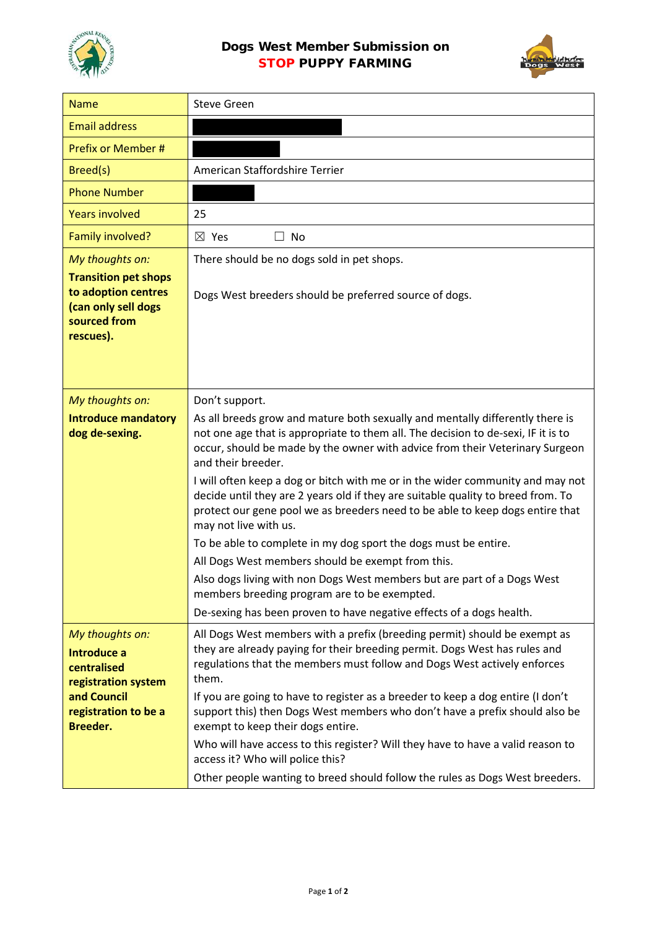



| <b>Name</b>                                                                                            | <b>Steve Green</b>                                                                                                                                                                                                                                                                                                                                                                                                                                                                                                              |
|--------------------------------------------------------------------------------------------------------|---------------------------------------------------------------------------------------------------------------------------------------------------------------------------------------------------------------------------------------------------------------------------------------------------------------------------------------------------------------------------------------------------------------------------------------------------------------------------------------------------------------------------------|
| <b>Email address</b>                                                                                   |                                                                                                                                                                                                                                                                                                                                                                                                                                                                                                                                 |
| Prefix or Member #                                                                                     |                                                                                                                                                                                                                                                                                                                                                                                                                                                                                                                                 |
| Breed(s)                                                                                               | American Staffordshire Terrier                                                                                                                                                                                                                                                                                                                                                                                                                                                                                                  |
| <b>Phone Number</b>                                                                                    |                                                                                                                                                                                                                                                                                                                                                                                                                                                                                                                                 |
| <b>Years involved</b>                                                                                  | 25                                                                                                                                                                                                                                                                                                                                                                                                                                                                                                                              |
| Family involved?                                                                                       | $\boxtimes$ Yes<br>$\Box$ No                                                                                                                                                                                                                                                                                                                                                                                                                                                                                                    |
| My thoughts on:                                                                                        | There should be no dogs sold in pet shops.                                                                                                                                                                                                                                                                                                                                                                                                                                                                                      |
| <b>Transition pet shops</b><br>to adoption centres<br>(can only sell dogs<br>sourced from<br>rescues). | Dogs West breeders should be preferred source of dogs.                                                                                                                                                                                                                                                                                                                                                                                                                                                                          |
| My thoughts on:                                                                                        | Don't support.                                                                                                                                                                                                                                                                                                                                                                                                                                                                                                                  |
| <b>Introduce mandatory</b><br>dog de-sexing.                                                           | As all breeds grow and mature both sexually and mentally differently there is<br>not one age that is appropriate to them all. The decision to de-sexi, IF it is to<br>occur, should be made by the owner with advice from their Veterinary Surgeon<br>and their breeder.<br>I will often keep a dog or bitch with me or in the wider community and may not<br>decide until they are 2 years old if they are suitable quality to breed from. To<br>protect our gene pool we as breeders need to be able to keep dogs entire that |
|                                                                                                        | may not live with us.                                                                                                                                                                                                                                                                                                                                                                                                                                                                                                           |
|                                                                                                        | To be able to complete in my dog sport the dogs must be entire.                                                                                                                                                                                                                                                                                                                                                                                                                                                                 |
|                                                                                                        | All Dogs West members should be exempt from this.                                                                                                                                                                                                                                                                                                                                                                                                                                                                               |
|                                                                                                        | Also dogs living with non Dogs West members but are part of a Dogs West<br>members breeding program are to be exempted.                                                                                                                                                                                                                                                                                                                                                                                                         |
|                                                                                                        | De-sexing has been proven to have negative effects of a dogs health.                                                                                                                                                                                                                                                                                                                                                                                                                                                            |
| My thoughts on:<br>Introduce a<br>centralised<br>registration system                                   | All Dogs West members with a prefix (breeding permit) should be exempt as<br>they are already paying for their breeding permit. Dogs West has rules and<br>regulations that the members must follow and Dogs West actively enforces<br>them.                                                                                                                                                                                                                                                                                    |
| and Council<br>registration to be a<br>Breeder.                                                        | If you are going to have to register as a breeder to keep a dog entire (I don't<br>support this) then Dogs West members who don't have a prefix should also be<br>exempt to keep their dogs entire.                                                                                                                                                                                                                                                                                                                             |
|                                                                                                        | Who will have access to this register? Will they have to have a valid reason to<br>access it? Who will police this?                                                                                                                                                                                                                                                                                                                                                                                                             |
|                                                                                                        | Other people wanting to breed should follow the rules as Dogs West breeders.                                                                                                                                                                                                                                                                                                                                                                                                                                                    |